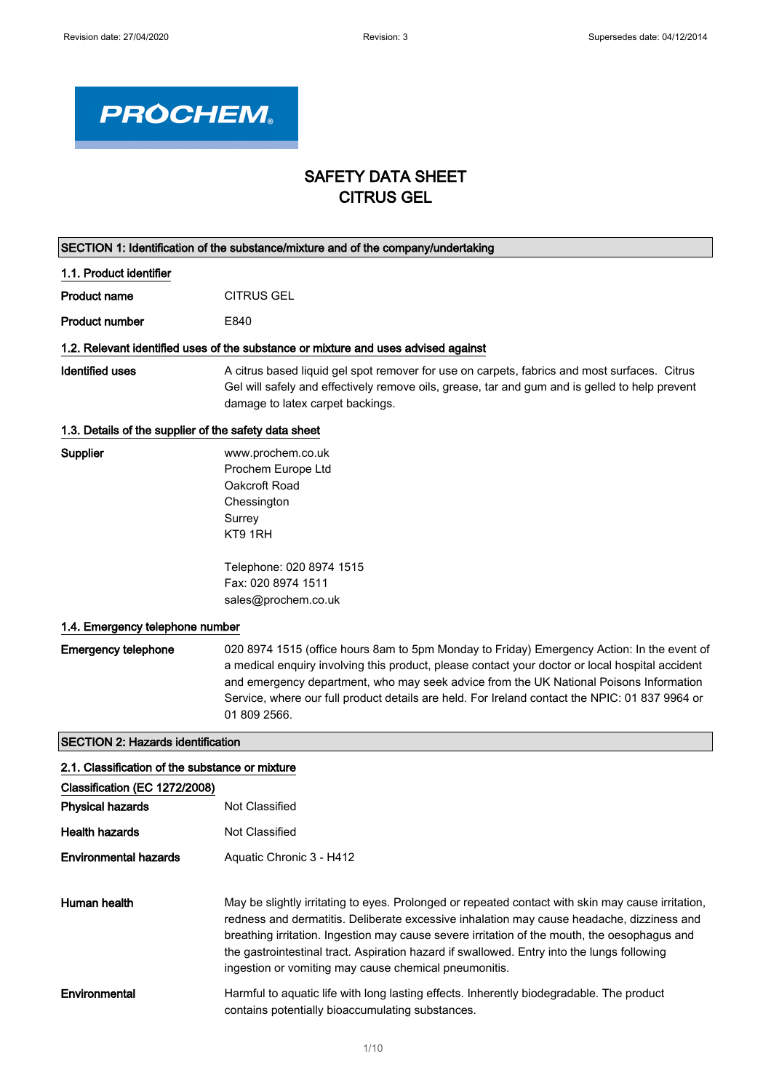

# SAFETY DATA SHEET CITRUS GEL

|                                                                           | SECTION 1: Identification of the substance/mixture and of the company/undertaking                                                                                                                                                                                                                                                                                                                                                                                                                                                                                                  |
|---------------------------------------------------------------------------|------------------------------------------------------------------------------------------------------------------------------------------------------------------------------------------------------------------------------------------------------------------------------------------------------------------------------------------------------------------------------------------------------------------------------------------------------------------------------------------------------------------------------------------------------------------------------------|
| 1.1. Product identifier                                                   |                                                                                                                                                                                                                                                                                                                                                                                                                                                                                                                                                                                    |
| <b>Product name</b>                                                       | <b>CITRUS GEL</b>                                                                                                                                                                                                                                                                                                                                                                                                                                                                                                                                                                  |
| <b>Product number</b>                                                     | E840                                                                                                                                                                                                                                                                                                                                                                                                                                                                                                                                                                               |
|                                                                           | 1.2. Relevant identified uses of the substance or mixture and uses advised against                                                                                                                                                                                                                                                                                                                                                                                                                                                                                                 |
| <b>Identified uses</b>                                                    | A citrus based liquid gel spot remover for use on carpets, fabrics and most surfaces. Citrus<br>Gel will safely and effectively remove oils, grease, tar and gum and is gelled to help prevent<br>damage to latex carpet backings.                                                                                                                                                                                                                                                                                                                                                 |
| 1.3. Details of the supplier of the safety data sheet                     |                                                                                                                                                                                                                                                                                                                                                                                                                                                                                                                                                                                    |
| Supplier<br>1.4. Emergency telephone number<br><b>Emergency telephone</b> | www.prochem.co.uk<br>Prochem Europe Ltd<br>Oakcroft Road<br>Chessington<br>Surrey<br>KT9 1RH<br>Telephone: 020 8974 1515<br>Fax: 020 8974 1511<br>sales@prochem.co.uk<br>020 8974 1515 (office hours 8am to 5pm Monday to Friday) Emergency Action: In the event of<br>a medical enquiry involving this product, please contact your doctor or local hospital accident<br>and emergency department, who may seek advice from the UK National Poisons Information<br>Service, where our full product details are held. For Ireland contact the NPIC: 01 837 9964 or<br>01 809 2566. |
| <b>SECTION 2: Hazards identification</b>                                  |                                                                                                                                                                                                                                                                                                                                                                                                                                                                                                                                                                                    |
|                                                                           |                                                                                                                                                                                                                                                                                                                                                                                                                                                                                                                                                                                    |
| 2.1. Classification of the substance or mixture                           |                                                                                                                                                                                                                                                                                                                                                                                                                                                                                                                                                                                    |
| Classification (EC 1272/2008)<br><b>Physical hazards</b>                  | Not Classified                                                                                                                                                                                                                                                                                                                                                                                                                                                                                                                                                                     |
| <b>Health hazards</b>                                                     | Not Classified                                                                                                                                                                                                                                                                                                                                                                                                                                                                                                                                                                     |
| <b>Environmental hazards</b>                                              | Aquatic Chronic 3 - H412                                                                                                                                                                                                                                                                                                                                                                                                                                                                                                                                                           |
| Human health                                                              | May be slightly irritating to eves. Prolonged or repeated contact with skin may cause irritation.                                                                                                                                                                                                                                                                                                                                                                                                                                                                                  |

| 2.1. Classification of the substance or mixture |                                                                                                                                                                                                                                                                                                                                                                                                                                                       |
|-------------------------------------------------|-------------------------------------------------------------------------------------------------------------------------------------------------------------------------------------------------------------------------------------------------------------------------------------------------------------------------------------------------------------------------------------------------------------------------------------------------------|
| Classification (EC 1272/2008)                   |                                                                                                                                                                                                                                                                                                                                                                                                                                                       |
| <b>Physical hazards</b>                         | Not Classified                                                                                                                                                                                                                                                                                                                                                                                                                                        |
| <b>Health hazards</b>                           | Not Classified                                                                                                                                                                                                                                                                                                                                                                                                                                        |
| Environmental hazards                           | Aquatic Chronic 3 - H412                                                                                                                                                                                                                                                                                                                                                                                                                              |
| Human health                                    | May be slightly irritating to eyes. Prolonged or repeated contact with skin may cause irritation,<br>redness and dermatitis. Deliberate excessive inhalation may cause headache, dizziness and<br>breathing irritation. Ingestion may cause severe irritation of the mouth, the oesophagus and<br>the gastrointestinal tract. Aspiration hazard if swallowed. Entry into the lungs following<br>ingestion or vomiting may cause chemical pneumonitis. |
| Environmental                                   | Harmful to aquatic life with long lasting effects. Inherently biodegradable. The product<br>contains potentially bioaccumulating substances.                                                                                                                                                                                                                                                                                                          |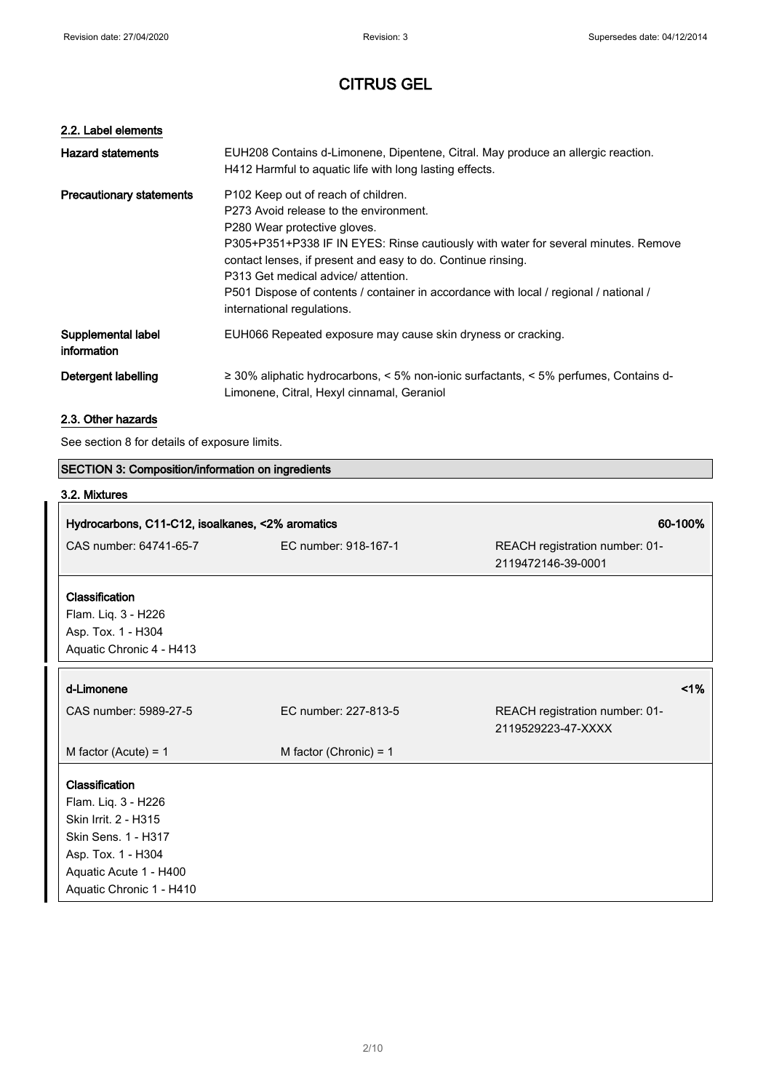# 2.2. Label elements

| <b>Hazard statements</b>          | EUH208 Contains d-Limonene, Dipentene, Citral. May produce an allergic reaction.<br>H412 Harmful to aquatic life with long lasting effects.                                                                                                                                                                                                                                                                                      |
|-----------------------------------|----------------------------------------------------------------------------------------------------------------------------------------------------------------------------------------------------------------------------------------------------------------------------------------------------------------------------------------------------------------------------------------------------------------------------------|
| <b>Precautionary statements</b>   | P102 Keep out of reach of children.<br>P273 Avoid release to the environment.<br>P280 Wear protective gloves.<br>P305+P351+P338 IF IN EYES: Rinse cautiously with water for several minutes. Remove<br>contact lenses, if present and easy to do. Continue rinsing.<br>P313 Get medical advice/attention.<br>P501 Dispose of contents / container in accordance with local / regional / national /<br>international regulations. |
| Supplemental label<br>information | EUH066 Repeated exposure may cause skin dryness or cracking.                                                                                                                                                                                                                                                                                                                                                                     |
| Detergent labelling               | $\geq$ 30% aliphatic hydrocarbons, < 5% non-ionic surfactants, < 5% perfumes, Contains d-<br>Limonene, Citral, Hexyl cinnamal, Geraniol                                                                                                                                                                                                                                                                                          |

# 2.3. Other hazards

See section 8 for details of exposure limits.

| SECTION 3: Composition/information on ingredients |                          |                                                      |
|---------------------------------------------------|--------------------------|------------------------------------------------------|
| 3.2. Mixtures                                     |                          |                                                      |
| Hydrocarbons, C11-C12, isoalkanes, <2% aromatics  |                          | 60-100%                                              |
| CAS number: 64741-65-7                            | EC number: 918-167-1     | REACH registration number: 01-<br>2119472146-39-0001 |
| Classification                                    |                          |                                                      |
| Flam. Liq. 3 - H226                               |                          |                                                      |
| Asp. Tox. 1 - H304                                |                          |                                                      |
| Aquatic Chronic 4 - H413                          |                          |                                                      |
| d-Limonene                                        |                          | 1%                                                   |
| CAS number: 5989-27-5                             | EC number: 227-813-5     | REACH registration number: 01-<br>2119529223-47-XXXX |
| M factor (Acute) = $1$                            | M factor (Chronic) = $1$ |                                                      |
| Classification                                    |                          |                                                      |
| Flam. Liq. 3 - H226                               |                          |                                                      |
| Skin Irrit. 2 - H315                              |                          |                                                      |
| Skin Sens. 1 - H317                               |                          |                                                      |
| Asp. Tox. 1 - H304                                |                          |                                                      |
| Aquatic Acute 1 - H400                            |                          |                                                      |
| Aquatic Chronic 1 - H410                          |                          |                                                      |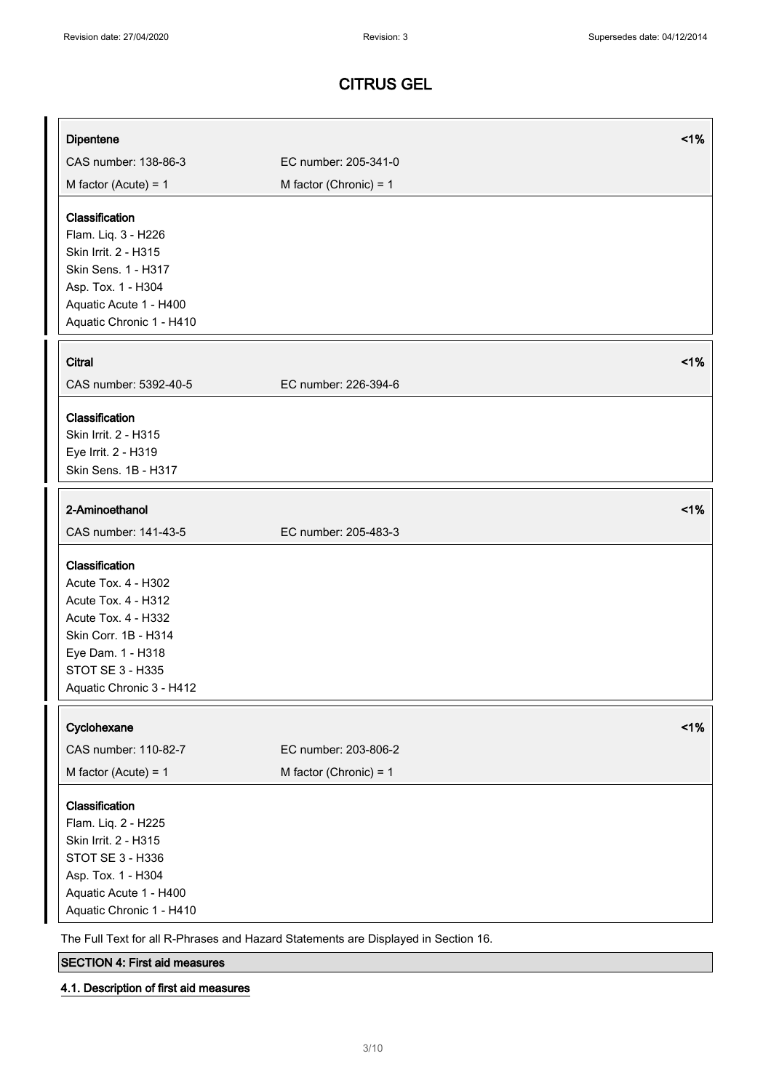| Dipentene                                    |                                                                                    | 1%    |
|----------------------------------------------|------------------------------------------------------------------------------------|-------|
| CAS number: 138-86-3                         | EC number: 205-341-0                                                               |       |
|                                              |                                                                                    |       |
| M factor (Acute) = $1$                       | M factor (Chronic) = $1$                                                           |       |
| Classification                               |                                                                                    |       |
| Flam. Liq. 3 - H226                          |                                                                                    |       |
| Skin Irrit. 2 - H315                         |                                                                                    |       |
| Skin Sens. 1 - H317                          |                                                                                    |       |
| Asp. Tox. 1 - H304                           |                                                                                    |       |
| Aquatic Acute 1 - H400                       |                                                                                    |       |
| Aquatic Chronic 1 - H410                     |                                                                                    |       |
|                                              |                                                                                    |       |
| <b>Citral</b>                                |                                                                                    | $1\%$ |
| CAS number: 5392-40-5                        | EC number: 226-394-6                                                               |       |
| Classification                               |                                                                                    |       |
| Skin Irrit. 2 - H315                         |                                                                                    |       |
| Eye Irrit. 2 - H319                          |                                                                                    |       |
| Skin Sens. 1B - H317                         |                                                                                    |       |
|                                              |                                                                                    |       |
| 2-Aminoethanol                               |                                                                                    | 1%    |
| CAS number: 141-43-5                         | EC number: 205-483-3                                                               |       |
| Classification                               |                                                                                    |       |
| Acute Tox. 4 - H302                          |                                                                                    |       |
| Acute Tox. 4 - H312                          |                                                                                    |       |
| Acute Tox. 4 - H332                          |                                                                                    |       |
| Skin Corr. 1B - H314                         |                                                                                    |       |
| Eye Dam. 1 - H318                            |                                                                                    |       |
| <b>STOT SE 3 - H335</b>                      |                                                                                    |       |
| Aquatic Chronic 3 - H412                     |                                                                                    |       |
| Cyclohexane                                  |                                                                                    | 1%    |
| CAS number: 110-82-7                         | EC number: 203-806-2                                                               |       |
| M factor (Acute) = $1$                       | M factor (Chronic) = $1$                                                           |       |
|                                              |                                                                                    |       |
| Classification                               |                                                                                    |       |
| Flam. Liq. 2 - H225                          |                                                                                    |       |
| Skin Irrit. 2 - H315                         |                                                                                    |       |
| STOT SE 3 - H336                             |                                                                                    |       |
| Asp. Tox. 1 - H304<br>Aquatic Acute 1 - H400 |                                                                                    |       |
| Aquatic Chronic 1 - H410                     |                                                                                    |       |
|                                              |                                                                                    |       |
|                                              | The Full Text for all R-Phrases and Hazard Statements are Displayed in Section 16. |       |

SECTION 4: First aid measures

# 4.1. Description of first aid measures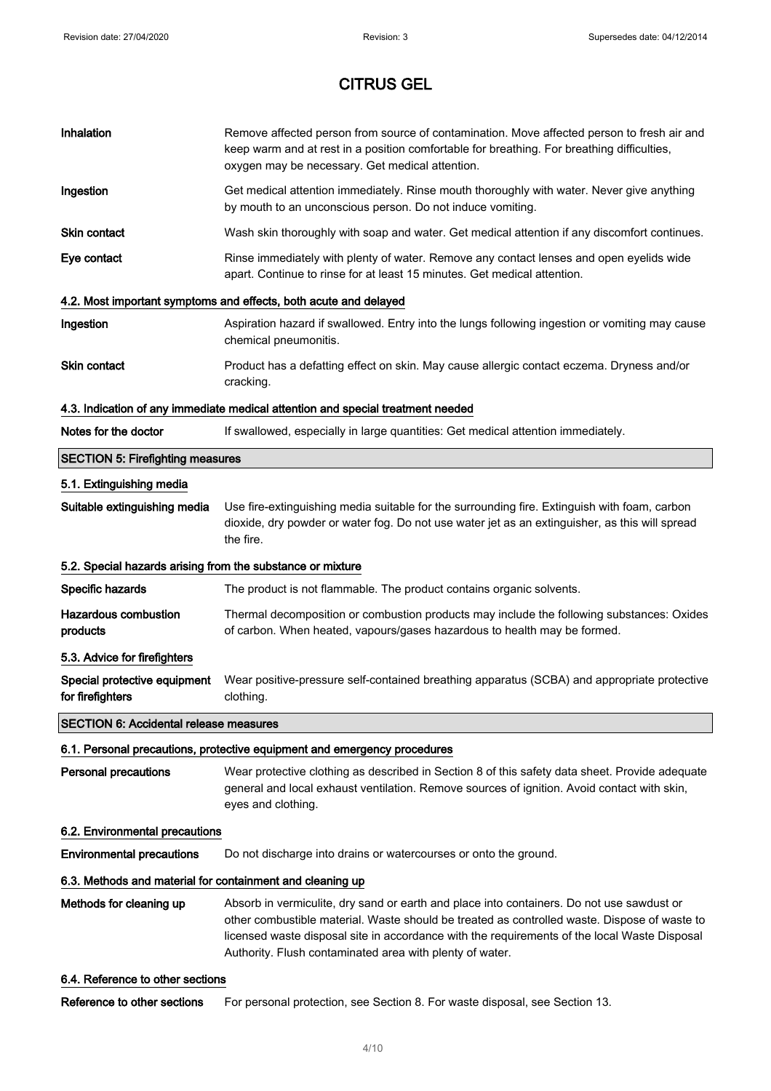| Inhalation                                                 | Remove affected person from source of contamination. Move affected person to fresh air and<br>keep warm and at rest in a position comfortable for breathing. For breathing difficulties,<br>oxygen may be necessary. Get medical attention.                                                                                                           |  |
|------------------------------------------------------------|-------------------------------------------------------------------------------------------------------------------------------------------------------------------------------------------------------------------------------------------------------------------------------------------------------------------------------------------------------|--|
| Ingestion                                                  | Get medical attention immediately. Rinse mouth thoroughly with water. Never give anything<br>by mouth to an unconscious person. Do not induce vomiting.                                                                                                                                                                                               |  |
| <b>Skin contact</b>                                        | Wash skin thoroughly with soap and water. Get medical attention if any discomfort continues.                                                                                                                                                                                                                                                          |  |
| Eye contact                                                | Rinse immediately with plenty of water. Remove any contact lenses and open eyelids wide<br>apart. Continue to rinse for at least 15 minutes. Get medical attention.                                                                                                                                                                                   |  |
|                                                            | 4.2. Most important symptoms and effects, both acute and delayed                                                                                                                                                                                                                                                                                      |  |
| Ingestion                                                  | Aspiration hazard if swallowed. Entry into the lungs following ingestion or vomiting may cause<br>chemical pneumonitis.                                                                                                                                                                                                                               |  |
| <b>Skin contact</b>                                        | Product has a defatting effect on skin. May cause allergic contact eczema. Dryness and/or<br>cracking.                                                                                                                                                                                                                                                |  |
|                                                            | 4.3. Indication of any immediate medical attention and special treatment needed                                                                                                                                                                                                                                                                       |  |
| Notes for the doctor                                       | If swallowed, especially in large quantities: Get medical attention immediately.                                                                                                                                                                                                                                                                      |  |
| <b>SECTION 5: Firefighting measures</b>                    |                                                                                                                                                                                                                                                                                                                                                       |  |
| 5.1. Extinguishing media                                   |                                                                                                                                                                                                                                                                                                                                                       |  |
| Suitable extinguishing media                               | Use fire-extinguishing media suitable for the surrounding fire. Extinguish with foam, carbon<br>dioxide, dry powder or water fog. Do not use water jet as an extinguisher, as this will spread<br>the fire.                                                                                                                                           |  |
| 5.2. Special hazards arising from the substance or mixture |                                                                                                                                                                                                                                                                                                                                                       |  |
| Specific hazards                                           | The product is not flammable. The product contains organic solvents.                                                                                                                                                                                                                                                                                  |  |
| <b>Hazardous combustion</b><br>products                    | Thermal decomposition or combustion products may include the following substances: Oxides<br>of carbon. When heated, vapours/gases hazardous to health may be formed.                                                                                                                                                                                 |  |
| 5.3. Advice for firefighters                               |                                                                                                                                                                                                                                                                                                                                                       |  |
| Special protective equipment<br>for firefighters           | Wear positive-pressure self-contained breathing apparatus (SCBA) and appropriate protective<br>clothing.                                                                                                                                                                                                                                              |  |
| <b>SECTION 6: Accidental release measures</b>              |                                                                                                                                                                                                                                                                                                                                                       |  |
|                                                            | 6.1. Personal precautions, protective equipment and emergency procedures                                                                                                                                                                                                                                                                              |  |
| <b>Personal precautions</b>                                | Wear protective clothing as described in Section 8 of this safety data sheet. Provide adequate<br>general and local exhaust ventilation. Remove sources of ignition. Avoid contact with skin,<br>eyes and clothing.                                                                                                                                   |  |
| 6.2. Environmental precautions                             |                                                                                                                                                                                                                                                                                                                                                       |  |
| <b>Environmental precautions</b>                           | Do not discharge into drains or watercourses or onto the ground.                                                                                                                                                                                                                                                                                      |  |
| 6.3. Methods and material for containment and cleaning up  |                                                                                                                                                                                                                                                                                                                                                       |  |
| Methods for cleaning up                                    | Absorb in vermiculite, dry sand or earth and place into containers. Do not use sawdust or<br>other combustible material. Waste should be treated as controlled waste. Dispose of waste to<br>licensed waste disposal site in accordance with the requirements of the local Waste Disposal<br>Authority. Flush contaminated area with plenty of water. |  |
| 6.4. Reference to other sections                           |                                                                                                                                                                                                                                                                                                                                                       |  |
| Reference to other sections                                | For personal protection, see Section 8. For waste disposal, see Section 13.                                                                                                                                                                                                                                                                           |  |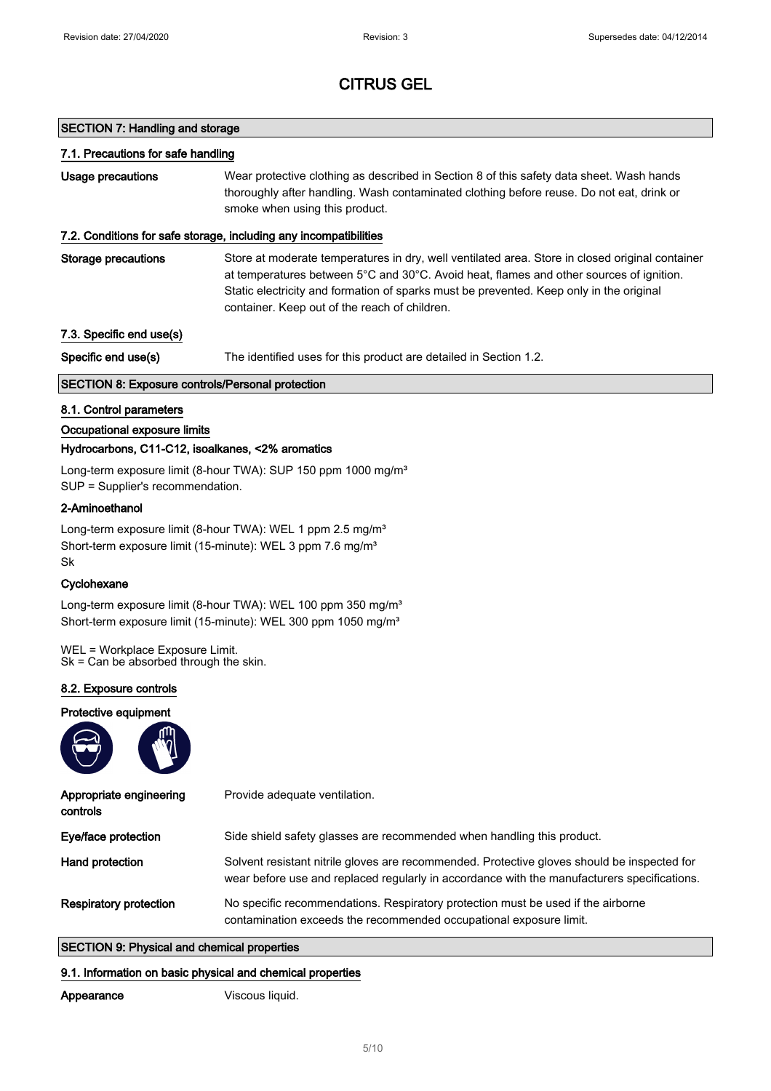### SECTION 7: Handling and storage

#### 7.1. Precautions for safe handling

Usage precautions **Wear protective clothing as described in Section 8 of this safety data sheet. Wash hands** thoroughly after handling. Wash contaminated clothing before reuse. Do not eat, drink or smoke when using this product.

### 7.2. Conditions for safe storage, including any incompatibilities

Storage precautions Store at moderate temperatures in dry, well ventilated area. Store in closed original container at temperatures between 5°C and 30°C. Avoid heat, flames and other sources of ignition. Static electricity and formation of sparks must be prevented. Keep only in the original container. Keep out of the reach of children.

7.3. Specific end use(s)

Specific end use(s) The identified uses for this product are detailed in Section 1.2.

### SECTION 8: Exposure controls/Personal protection

### 8.1. Control parameters

### Occupational exposure limits

### Hydrocarbons, C11-C12, isoalkanes, <2% aromatics

Long-term exposure limit (8-hour TWA): SUP 150 ppm 1000 mg/m<sup>3</sup> SUP = Supplier's recommendation.

### 2-Aminoethanol

Long-term exposure limit (8-hour TWA): WEL 1 ppm 2.5 mg/m<sup>3</sup> Short-term exposure limit (15-minute): WEL 3 ppm 7.6 mg/m<sup>3</sup> Sk

#### **Cyclohexane**

Long-term exposure limit (8-hour TWA): WEL 100 ppm 350 mg/m<sup>3</sup> Short-term exposure limit (15-minute): WEL 300 ppm 1050 mg/m<sup>3</sup>

WEL = Workplace Exposure Limit. Sk = Can be absorbed through the skin.

#### 8.2. Exposure controls

#### Protective equipment



| Appropriate engineering<br>controls | Provide adequate ventilation.                                                                                                                                                              |
|-------------------------------------|--------------------------------------------------------------------------------------------------------------------------------------------------------------------------------------------|
| Eye/face protection                 | Side shield safety glasses are recommended when handling this product.                                                                                                                     |
| Hand protection                     | Solvent resistant nitrile gloves are recommended. Protective gloves should be inspected for<br>wear before use and replaced regularly in accordance with the manufacturers specifications. |
| <b>Respiratory protection</b>       | No specific recommendations. Respiratory protection must be used if the airborne<br>contamination exceeds the recommended occupational exposure limit.                                     |

### SECTION 9: Physical and chemical properties

#### 9.1. Information on basic physical and chemical properties

Viscous liquid.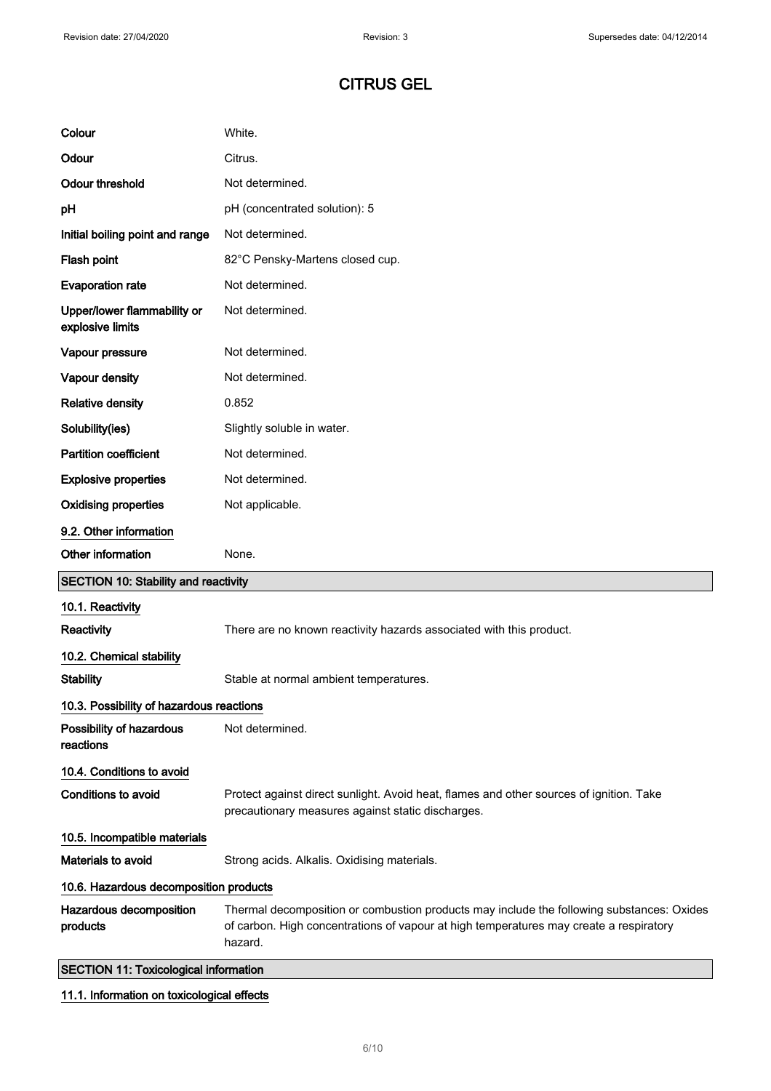| Colour                                          | White.                                                                                                                                                                                         |  |
|-------------------------------------------------|------------------------------------------------------------------------------------------------------------------------------------------------------------------------------------------------|--|
| Odour                                           | Citrus.                                                                                                                                                                                        |  |
| <b>Odour threshold</b>                          | Not determined.                                                                                                                                                                                |  |
| pH                                              | pH (concentrated solution): 5                                                                                                                                                                  |  |
| Initial boiling point and range                 | Not determined.                                                                                                                                                                                |  |
| Flash point                                     | 82°C Pensky-Martens closed cup.                                                                                                                                                                |  |
| <b>Evaporation rate</b>                         | Not determined.                                                                                                                                                                                |  |
| Upper/lower flammability or<br>explosive limits | Not determined.                                                                                                                                                                                |  |
| Vapour pressure                                 | Not determined.                                                                                                                                                                                |  |
| Vapour density                                  | Not determined.                                                                                                                                                                                |  |
| <b>Relative density</b>                         | 0.852                                                                                                                                                                                          |  |
| Solubility(ies)                                 | Slightly soluble in water.                                                                                                                                                                     |  |
| <b>Partition coefficient</b>                    | Not determined.                                                                                                                                                                                |  |
| <b>Explosive properties</b>                     | Not determined.                                                                                                                                                                                |  |
| <b>Oxidising properties</b>                     | Not applicable.                                                                                                                                                                                |  |
| 9.2. Other information                          |                                                                                                                                                                                                |  |
| Other information                               | None.                                                                                                                                                                                          |  |
| <b>SECTION 10: Stability and reactivity</b>     |                                                                                                                                                                                                |  |
| 10.1. Reactivity                                |                                                                                                                                                                                                |  |
| Reactivity                                      | There are no known reactivity hazards associated with this product.                                                                                                                            |  |
| 10.2. Chemical stability                        |                                                                                                                                                                                                |  |
| <b>Stability</b>                                | Stable at normal ambient temperatures.                                                                                                                                                         |  |
| 10.3. Possibility of hazardous reactions        |                                                                                                                                                                                                |  |
| Possibility of hazardous<br>reactions           | Not determined.                                                                                                                                                                                |  |
| 10.4. Conditions to avoid                       |                                                                                                                                                                                                |  |
| Conditions to avoid                             | Protect against direct sunlight. Avoid heat, flames and other sources of ignition. Take<br>precautionary measures against static discharges.                                                   |  |
| 10.5. Incompatible materials                    |                                                                                                                                                                                                |  |
| Materials to avoid                              | Strong acids. Alkalis. Oxidising materials.                                                                                                                                                    |  |
| 10.6. Hazardous decomposition products          |                                                                                                                                                                                                |  |
| Hazardous decomposition<br>products             | Thermal decomposition or combustion products may include the following substances: Oxides<br>of carbon. High concentrations of vapour at high temperatures may create a respiratory<br>hazard. |  |
| <b>SECTION 11: Toxicological information</b>    |                                                                                                                                                                                                |  |

# 11.1. Information on toxicological effects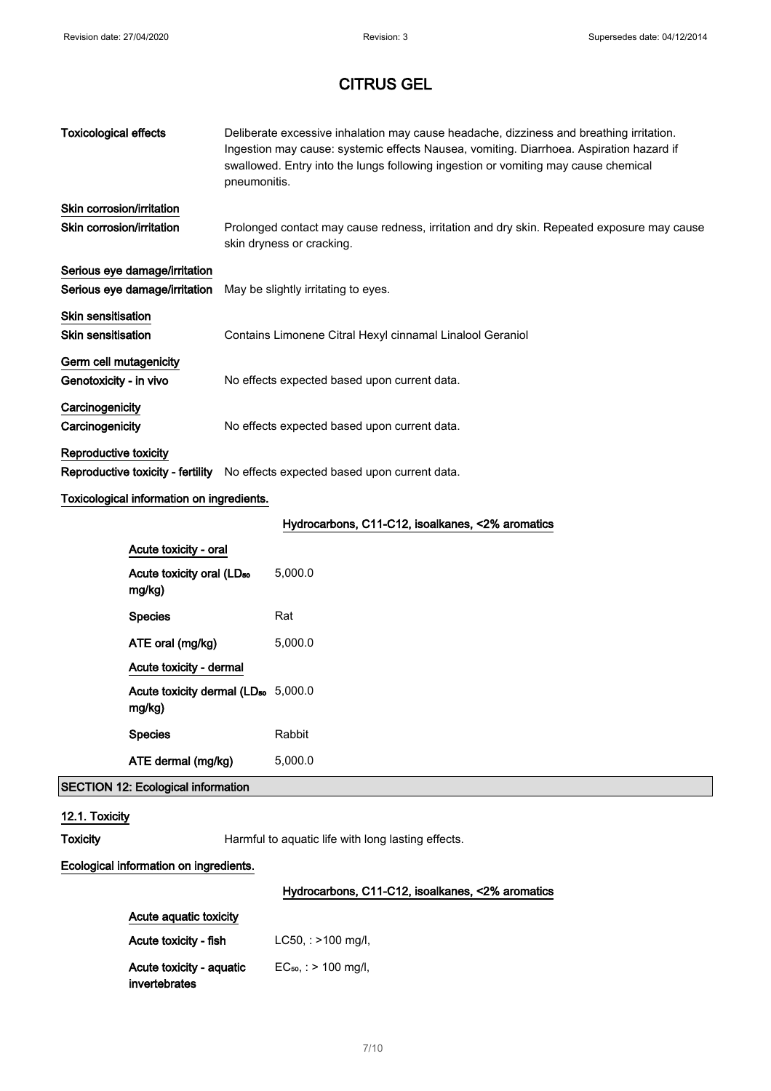| <b>Toxicological effects</b>                              | pneumonitis. | Deliberate excessive inhalation may cause headache, dizziness and breathing irritation.<br>Ingestion may cause: systemic effects Nausea, vomiting. Diarrhoea. Aspiration hazard if<br>swallowed. Entry into the lungs following ingestion or vomiting may cause chemical |
|-----------------------------------------------------------|--------------|--------------------------------------------------------------------------------------------------------------------------------------------------------------------------------------------------------------------------------------------------------------------------|
| Skin corrosion/irritation                                 |              |                                                                                                                                                                                                                                                                          |
| Skin corrosion/irritation                                 |              | Prolonged contact may cause redness, irritation and dry skin. Repeated exposure may cause<br>skin dryness or cracking.                                                                                                                                                   |
| Serious eye damage/irritation                             |              |                                                                                                                                                                                                                                                                          |
| Serious eye damage/irritation                             |              | May be slightly irritating to eyes.                                                                                                                                                                                                                                      |
| <b>Skin sensitisation</b>                                 |              |                                                                                                                                                                                                                                                                          |
| Skin sensitisation                                        |              | Contains Limonene Citral Hexyl cinnamal Linalool Geraniol                                                                                                                                                                                                                |
| Germ cell mutagenicity                                    |              |                                                                                                                                                                                                                                                                          |
| Genotoxicity - in vivo                                    |              | No effects expected based upon current data.                                                                                                                                                                                                                             |
| Carcinogenicity                                           |              |                                                                                                                                                                                                                                                                          |
| Carcinogenicity                                           |              | No effects expected based upon current data.                                                                                                                                                                                                                             |
| Reproductive toxicity                                     |              |                                                                                                                                                                                                                                                                          |
|                                                           |              | Reproductive toxicity - fertility No effects expected based upon current data.                                                                                                                                                                                           |
| Toxicological information on ingredients.                 |              |                                                                                                                                                                                                                                                                          |
|                                                           |              | Hydrocarbons, C11-C12, isoalkanes, <2% aromatics                                                                                                                                                                                                                         |
| Acute toxicity - oral                                     |              |                                                                                                                                                                                                                                                                          |
| Acute toxicity oral (LD <sub>50</sub><br>mg/kg)           |              | 5,000.0                                                                                                                                                                                                                                                                  |
| <b>Species</b>                                            |              | Rat                                                                                                                                                                                                                                                                      |
| ATE oral (mg/kg)                                          |              | 5,000.0                                                                                                                                                                                                                                                                  |
| Acute toxicity - dermal                                   |              |                                                                                                                                                                                                                                                                          |
| Acute toxicity dermal (LD <sub>50</sub> 5,000.0<br>mg/kg) |              |                                                                                                                                                                                                                                                                          |
| <b>Species</b>                                            |              | Rabbit                                                                                                                                                                                                                                                                   |
| ATE dermal (mg/kg)                                        |              | 5,000.0                                                                                                                                                                                                                                                                  |
| <b>SECTION 12: Ecological information</b>                 |              |                                                                                                                                                                                                                                                                          |
| 12.1. Toxicity                                            |              |                                                                                                                                                                                                                                                                          |
| <b>Toxicity</b>                                           |              | Harmful to aquatic life with long lasting effects.                                                                                                                                                                                                                       |

### Ecological information on ingredients.

# Hydrocarbons, C11-C12, isoalkanes, <2% aromatics

| Acute aquatic toxicity                    |                           |  |
|-------------------------------------------|---------------------------|--|
| Acute toxicity - fish                     | $LC50$ , : $>100$ mg/l,   |  |
| Acute toxicity - aquatic<br>invertebrates | $EC_{50}$ , : > 100 mg/l, |  |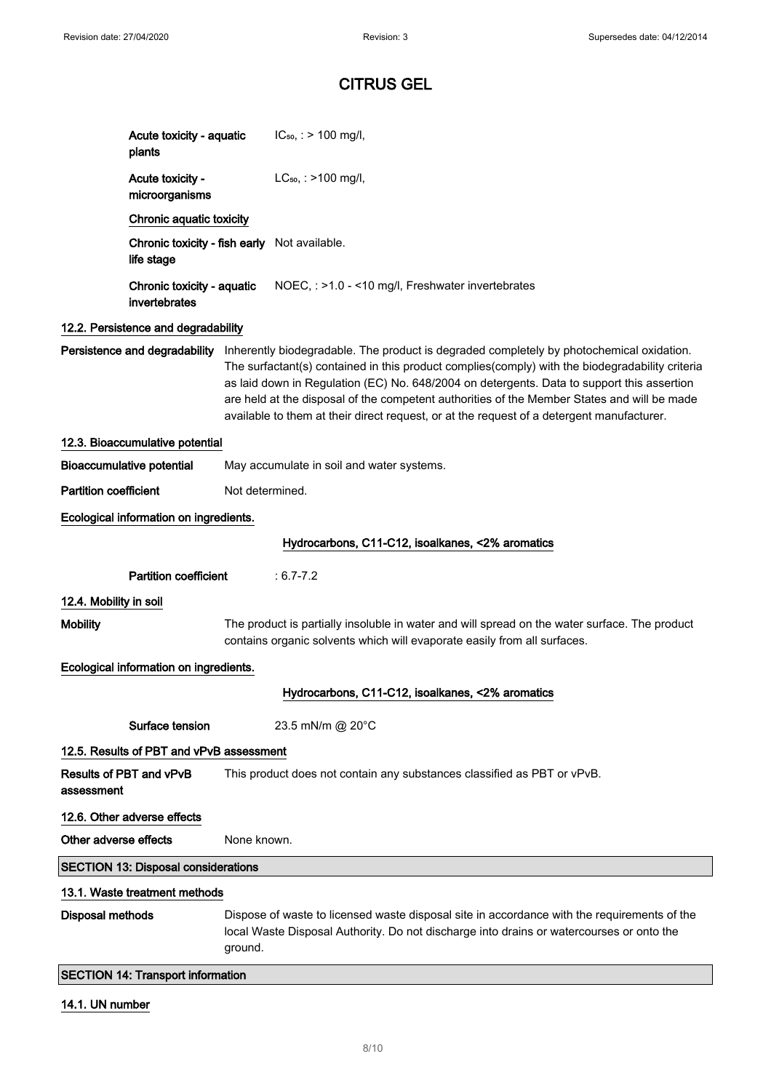| Acute toxicity - aquatic<br>plants          | $IC_{50}$ : > 100 mg/l,                                                                                                                                                                                                                                                                                                                                                                                                                                                               |
|---------------------------------------------|---------------------------------------------------------------------------------------------------------------------------------------------------------------------------------------------------------------------------------------------------------------------------------------------------------------------------------------------------------------------------------------------------------------------------------------------------------------------------------------|
| Acute toxicity -<br>microorganisms          | $LC_{50}$ , : >100 mg/l,                                                                                                                                                                                                                                                                                                                                                                                                                                                              |
| Chronic aquatic toxicity                    |                                                                                                                                                                                                                                                                                                                                                                                                                                                                                       |
| life stage                                  | Chronic toxicity - fish early Not available.                                                                                                                                                                                                                                                                                                                                                                                                                                          |
| Chronic toxicity - aquatic<br>invertebrates | NOEC, : >1.0 - <10 mg/l, Freshwater invertebrates                                                                                                                                                                                                                                                                                                                                                                                                                                     |
| 12.2. Persistence and degradability         |                                                                                                                                                                                                                                                                                                                                                                                                                                                                                       |
| Persistence and degradability               | Inherently biodegradable. The product is degraded completely by photochemical oxidation.<br>The surfactant(s) contained in this product complies(comply) with the biodegradability criteria<br>as laid down in Regulation (EC) No. 648/2004 on detergents. Data to support this assertion<br>are held at the disposal of the competent authorities of the Member States and will be made<br>available to them at their direct request, or at the request of a detergent manufacturer. |
| 12.3. Bioaccumulative potential             |                                                                                                                                                                                                                                                                                                                                                                                                                                                                                       |
| <b>Bioaccumulative potential</b>            | May accumulate in soil and water systems.                                                                                                                                                                                                                                                                                                                                                                                                                                             |
| <b>Partition coefficient</b>                | Not determined.                                                                                                                                                                                                                                                                                                                                                                                                                                                                       |
| Ecological information on ingredients.      |                                                                                                                                                                                                                                                                                                                                                                                                                                                                                       |
|                                             | Hydrocarbons, C11-C12, isoalkanes, <2% aromatics                                                                                                                                                                                                                                                                                                                                                                                                                                      |
| <b>Partition coefficient</b>                | $: 6.7 - 7.2$                                                                                                                                                                                                                                                                                                                                                                                                                                                                         |
| 12.4. Mobility in soil                      |                                                                                                                                                                                                                                                                                                                                                                                                                                                                                       |
| <b>Mobility</b>                             | The product is partially insoluble in water and will spread on the water surface. The product<br>contains organic solvents which will evaporate easily from all surfaces.                                                                                                                                                                                                                                                                                                             |
| Ecological information on ingredients.      |                                                                                                                                                                                                                                                                                                                                                                                                                                                                                       |
|                                             | Hydrocarbons, C11-C12, isoalkanes, <2% aromatics                                                                                                                                                                                                                                                                                                                                                                                                                                      |
| Surface tension                             | 23.5 mN/m @ 20°C                                                                                                                                                                                                                                                                                                                                                                                                                                                                      |
| 12.5. Results of PBT and vPvB assessment    |                                                                                                                                                                                                                                                                                                                                                                                                                                                                                       |
| Results of PBT and vPvB<br>assessment       | This product does not contain any substances classified as PBT or vPvB.                                                                                                                                                                                                                                                                                                                                                                                                               |
| 12.6. Other adverse effects                 |                                                                                                                                                                                                                                                                                                                                                                                                                                                                                       |
| Other adverse effects                       | None known.                                                                                                                                                                                                                                                                                                                                                                                                                                                                           |
| <b>SECTION 13: Disposal considerations</b>  |                                                                                                                                                                                                                                                                                                                                                                                                                                                                                       |
| 13.1. Waste treatment methods               |                                                                                                                                                                                                                                                                                                                                                                                                                                                                                       |
| <b>Disposal methods</b>                     | Dispose of waste to licensed waste disposal site in accordance with the requirements of the<br>local Waste Disposal Authority. Do not discharge into drains or watercourses or onto the<br>ground.                                                                                                                                                                                                                                                                                    |
|                                             |                                                                                                                                                                                                                                                                                                                                                                                                                                                                                       |

# 14.1. UN number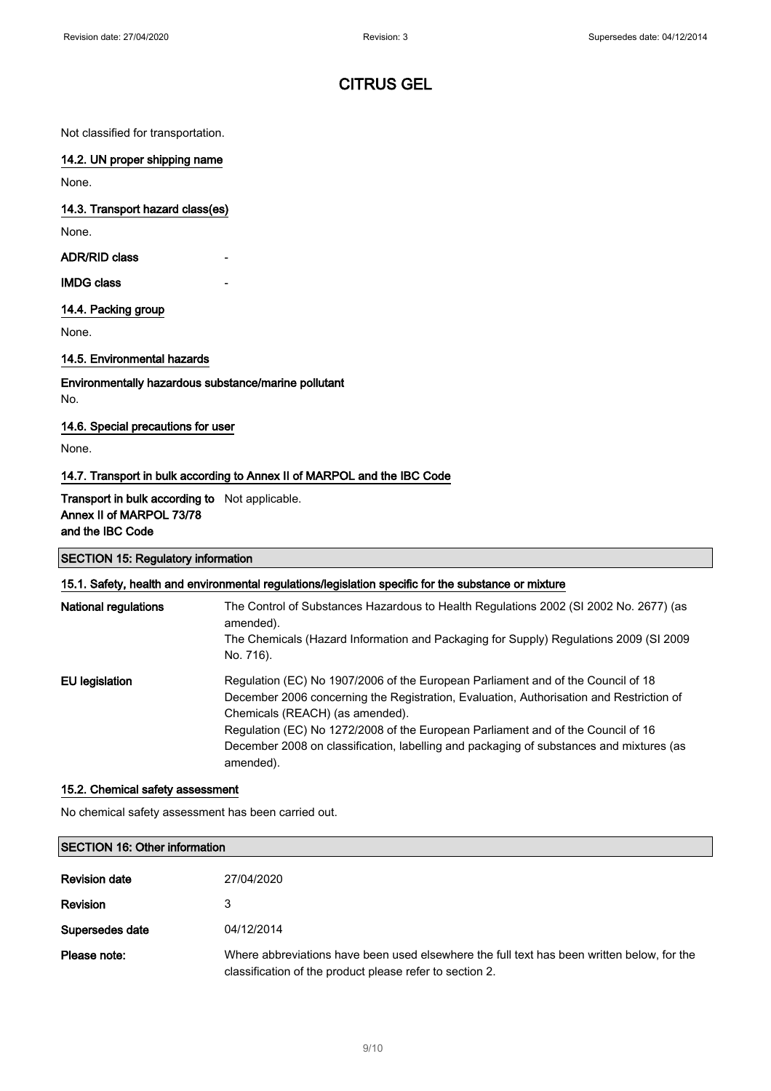Not classified for transportation.

### 14.2. UN proper shipping name

None.

### 14.3. Transport hazard class(es)

None.

ADR/RID class

### **IMDG class**

### 14.4. Packing group

None.

## 14.5. Environmental hazards

Environmentally hazardous substance/marine pollutant No.

### 14.6. Special precautions for user

None.

## 14.7. Transport in bulk according to Annex II of MARPOL and the IBC Code

### Transport in bulk according to Not applicable. Annex II of MARPOL 73/78 and the IBC Code

| <b>SECTION 15: Regulatory information</b>                                                            |  |  |
|------------------------------------------------------------------------------------------------------|--|--|
| 15.1. Safety, health and environmental regulations/legislation specific for the substance or mixture |  |  |

| <b>National regulations</b> | The Control of Substances Hazardous to Health Regulations 2002 (SI 2002 No. 2677) (as<br>amended).<br>The Chemicals (Hazard Information and Packaging for Supply) Regulations 2009 (SI 2009<br>No. 716).                                                                                                                                                                                                   |
|-----------------------------|------------------------------------------------------------------------------------------------------------------------------------------------------------------------------------------------------------------------------------------------------------------------------------------------------------------------------------------------------------------------------------------------------------|
| EU legislation              | Regulation (EC) No 1907/2006 of the European Parliament and of the Council of 18<br>December 2006 concerning the Registration, Evaluation, Authorisation and Restriction of<br>Chemicals (REACH) (as amended).<br>Regulation (EC) No 1272/2008 of the European Parliament and of the Council of 16<br>December 2008 on classification, labelling and packaging of substances and mixtures (as<br>amended). |

#### 15.2. Chemical safety assessment

No chemical safety assessment has been carried out.

| <b>SECTION 16: Other information</b> |                                                                                                                                                        |  |
|--------------------------------------|--------------------------------------------------------------------------------------------------------------------------------------------------------|--|
| <b>Revision date</b>                 | 27/04/2020                                                                                                                                             |  |
| <b>Revision</b>                      | 3                                                                                                                                                      |  |
| Supersedes date                      | 04/12/2014                                                                                                                                             |  |
| Please note:                         | Where abbreviations have been used elsewhere the full text has been written below, for the<br>classification of the product please refer to section 2. |  |